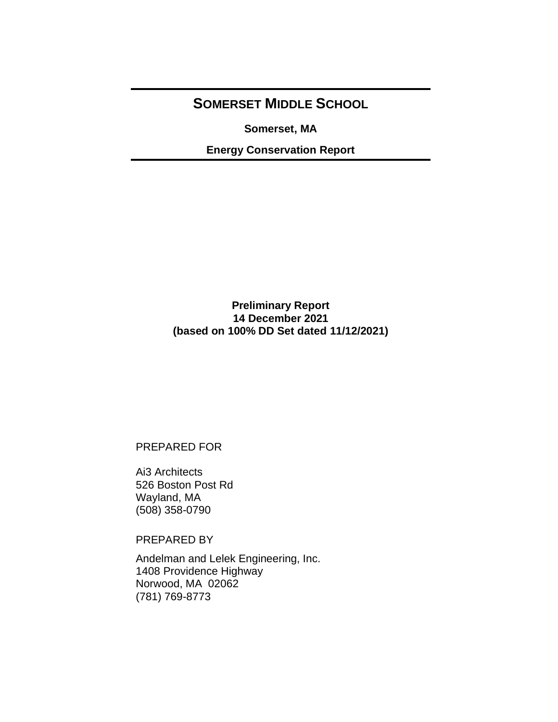# **SOMERSET MIDDLE SCHOOL**

**Somerset, MA**

**Energy Conservation Report**

# **Preliminary Report 14 December 2021 (based on 100% DD Set dated 11/12/2021)**

# PREPARED FOR

Ai3 Architects 526 Boston Post Rd Wayland, MA (508) 358-0790

PREPARED BY

Andelman and Lelek Engineering, Inc. 1408 Providence Highway Norwood, MA 02062 (781) 769-8773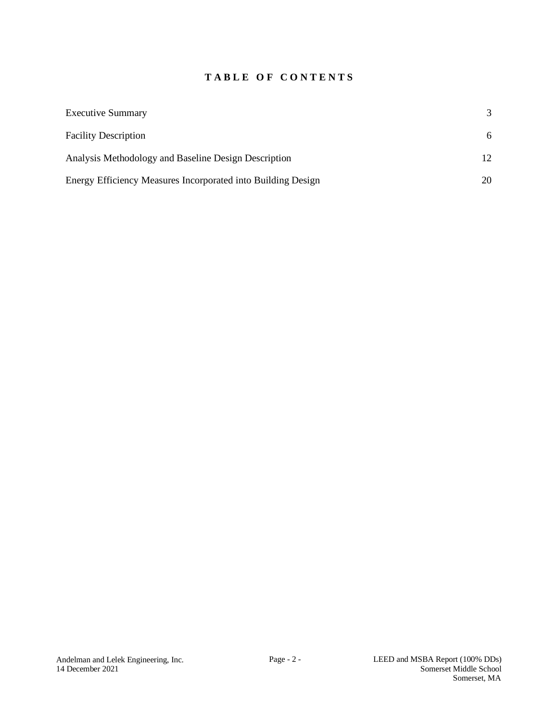# **T A B L E O F C O N T E N T S**

| <b>Executive Summary</b>                                     | $\mathcal{R}$ |
|--------------------------------------------------------------|---------------|
| <b>Facility Description</b>                                  | 6             |
| Analysis Methodology and Baseline Design Description         | 12.           |
| Energy Efficiency Measures Incorporated into Building Design | 20            |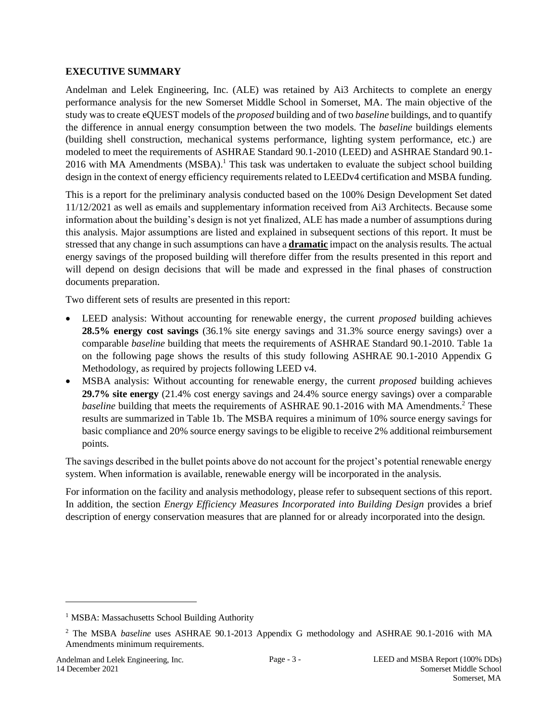### <span id="page-2-0"></span>**EXECUTIVE SUMMARY**

<span id="page-2-1"></span>Andelman and Lelek Engineering, Inc. (ALE) was retained by Ai3 Architects to complete an energy performance analysis for the new Somerset Middle School in Somerset, MA. The main objective of the study was to create eQUEST models of the *proposed* building and of two *baseline* buildings, and to quantify the difference in annual energy consumption between the two models. The *baseline* buildings elements (building shell construction, mechanical systems performance, lighting system performance, etc.) are modeled to meet the requirements of ASHRAE Standard 90.1-2010 (LEED) and ASHRAE Standard 90.1- 2016 with MA Amendments (MSBA).<sup>1</sup> This task was undertaken to evaluate the subject school building design in the context of energy efficiency requirements related to LEEDv4 certification and MSBA funding.

<span id="page-2-2"></span>This is a report for the preliminary analysis conducted based on the 100% Design Development Set dated 11/12/2021 as well as emails and supplementary information received from [Ai3 Architects.](#page-2-1) Because some information about the building's design is not yet finalized, ALE has made a number of assumptions during this analysis. Major assumptions are listed and explained in subsequent sections of this report. It must be stressed that any change in such assumptions can have a **dramatic** impact on the analysis results. The actual energy savings of the proposed building will therefore differ from the results presented in this report and will depend on design decisions that will be made and expressed in the final phases of construction documents preparation.

Two different sets of results are presented in this report:

- LEED analysis: Without accounting for renewable energy, the current *proposed* building achieves **28.5% energy cost savings** (36.1% site energy savings and 31.3% source energy savings) over a comparable *baseline* building that meets the requirements of ASHRAE Standard 90.1-2010. Table 1a on the following page shows the results of this study following ASHRAE 90.1-2010 Appendix G Methodology, as required by projects following LEED v4.
- MSBA analysis: Without accounting for renewable energy, the current *proposed* building achieves **29.7% site energy** (21.4% cost energy savings and 24.4% source energy savings) over a comparable baseline building that meets the requirements of ASHRAE 90.1-2016 with MA Amendments.<sup>2</sup> These results are summarized in Table 1b. The MSBA requires a minimum of 10% source energy savings for basic compliance and 20% source energy savings to be eligible to receive 2% additional reimbursement points.

The savings described in the bullet points above do not account for the project's potential renewable energy system. When information is available, renewable energy will be incorporated in the analysis.

For information on the facility and analysis methodology, please refer to subsequent sections of this report. In addition, the section *Energy Efficiency Measures Incorporated into Building Design* provides a brief description of energy conservation measures that are planned for or already incorporated into the design.

<sup>&</sup>lt;sup>1</sup> MSBA: Massachusetts School Building Authority

<sup>2</sup> The MSBA *baseline* uses ASHRAE 90.1-2013 Appendix G methodology and ASHRAE 90.1-2016 with MA Amendments minimum requirements.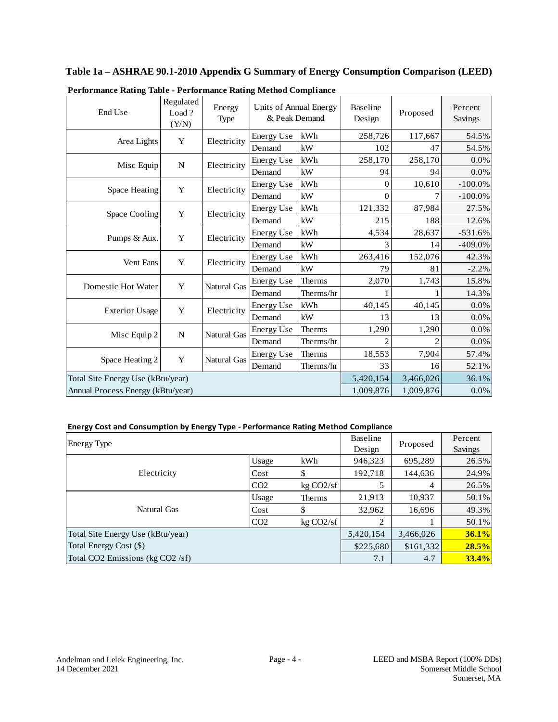# **Table 1a – ASHRAE 90.1-2010 Appendix G Summary of Energy Consumption Comparison (LEED)**

| End Use                           | Regulated<br>Load?<br>(Y/N) | Energy<br><b>Type</b> | Units of Annual Energy<br>& Peak Demand |               | <b>Baseline</b><br>Design | Proposed | Percent<br>Savings |
|-----------------------------------|-----------------------------|-----------------------|-----------------------------------------|---------------|---------------------------|----------|--------------------|
|                                   | Y                           | Electricity           | <b>Energy Use</b>                       | kWh           | 258,726                   | 117,667  | 54.5%              |
| Area Lights                       |                             |                       | Demand                                  | kW            | 102                       | 47       | 54.5%              |
| Misc Equip                        | N                           | Electricity           | <b>Energy Use</b>                       | kWh           | 258,170                   | 258,170  | 0.0%               |
|                                   |                             |                       | Demand                                  | kW            | 94                        | 94       | 0.0%               |
| Space Heating                     | Y                           | Electricity           | <b>Energy Use</b>                       | kWh           | 0                         | 10,610   | $-100.0\%$         |
|                                   |                             |                       | Demand                                  | kW            | $\theta$                  |          | $-100.0\%$         |
| Space Cooling                     | Y                           |                       | <b>Energy Use</b>                       | kWh           | 121,332                   | 87,984   | 27.5%              |
|                                   |                             | Electricity           | Demand                                  | kW            | 215                       | 188      | 12.6%              |
| Pumps & Aux.                      |                             | Y<br>Electricity      | <b>Energy Use</b>                       | kWh           | 4,534                     | 28,637   | $-531.6%$          |
|                                   |                             |                       | Demand                                  | kW            | 3                         | 14       | $-409.0\%$         |
| Vent Fans                         | Y                           | Electricity           | <b>Energy Use</b>                       | kWh           | 263,416                   | 152,076  | 42.3%              |
|                                   |                             |                       | Demand                                  | kW            | 79                        | 81       | $-2.2%$            |
| Domestic Hot Water                | Y                           | <b>Natural Gas</b>    | <b>Energy Use</b>                       | <b>Therms</b> | 2,070                     | 1,743    | 15.8%              |
|                                   |                             |                       | Demand                                  | Therms/hr     |                           |          | 14.3%              |
| <b>Exterior Usage</b>             | Y                           | Electricity           | <b>Energy Use</b>                       | kWh           | 40,145                    | 40,145   | 0.0%               |
|                                   |                             |                       | Demand                                  | kW            | 13                        | 13       | 0.0%               |
| Misc Equip 2                      | N                           | Natural Gas           | <b>Energy Use</b>                       | <b>Therms</b> | 1,290                     | 1,290    | 0.0%               |
|                                   |                             |                       | Demand                                  | Therms/hr     |                           |          | 0.0%               |
|                                   |                             |                       | <b>Energy Use</b>                       | <b>Therms</b> | 18,553                    | 7,904    | 57.4%              |
| Space Heating 2                   | Y                           | <b>Natural Gas</b>    | Demand                                  | Therms/hr     | 33                        | 16       | 52.1%              |
| Total Site Energy Use (kBtu/year) | 5,420,154                   | 3,466,026             | 36.1%                                   |               |                           |          |                    |
| Annual Process Energy (kBtu/year) |                             |                       | 1,009,876                               | 1,009,876     | $0.0\%$                   |          |                    |

|  | Performance Rating Table - Performance Rating Method Compliance |  |  |
|--|-----------------------------------------------------------------|--|--|
|  |                                                                 |  |  |

#### **Energy Cost and Consumption by Energy Type - Performance Rating Method Compliance**

| <b>Energy Type</b>                | <b>Baseline</b> | Proposed  | Percent   |           |       |
|-----------------------------------|-----------------|-----------|-----------|-----------|-------|
|                                   | Design          |           | Savings   |           |       |
|                                   | Usage           | kWh       | 946,323   | 695,289   | 26.5% |
| Electricity                       | Cost            | \$        | 192,718   | 144,636   | 24.9% |
|                                   | CO <sub>2</sub> | kg CO2/sf |           | 4         | 26.5% |
|                                   | Usage           | Therms    | 21,913    | 10,937    | 50.1% |
| Natural Gas                       | Cost            | S         | 32,962    | 16,696    | 49.3% |
|                                   | CO <sub>2</sub> | kg CO2/sf | 2         |           | 50.1% |
| Total Site Energy Use (kBtu/year) |                 |           | 5,420,154 | 3,466,026 | 36.1% |
| Total Energy Cost (\$)            |                 |           | \$225,680 | \$161,332 | 28.5% |
| Total CO2 Emissions (kg CO2 /sf)  |                 |           | 7.1       | 4.7       | 33.4% |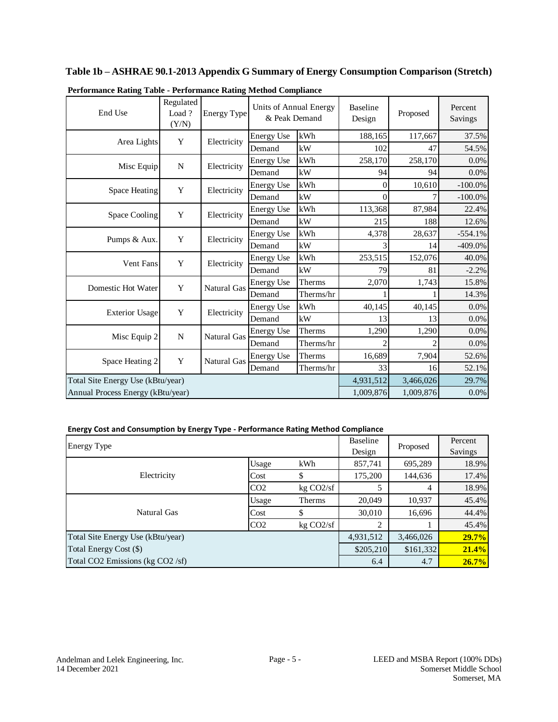| Performance Rating Table - Performance Rating Method Compliance |                             |                    |                                         |           |                           |           |                    |
|-----------------------------------------------------------------|-----------------------------|--------------------|-----------------------------------------|-----------|---------------------------|-----------|--------------------|
| End Use                                                         | Regulated<br>Load?<br>(Y/N) | <b>Energy Type</b> | Units of Annual Energy<br>& Peak Demand |           | <b>Baseline</b><br>Design | Proposed  | Percent<br>Savings |
| Area Lights                                                     | Y                           | Electricity        | <b>Energy Use</b>                       | kWh       | 188,165                   | 117,667   | 37.5%              |
|                                                                 |                             |                    | Demand                                  | kW        | 102                       | 47        | 54.5%              |
| Misc Equip                                                      | $\mathbf N$                 | Electricity        | <b>Energy Use</b>                       | kWh       | 258,170                   | 258,170   | 0.0%               |
|                                                                 |                             |                    | Demand                                  | kW        | 94                        | 94        | 0.0%               |
| Space Heating                                                   | Y                           | Electricity        | <b>Energy Use</b>                       | kWh       | $\Omega$                  | 10,610    | $-100.0\%$         |
|                                                                 |                             |                    | Demand                                  | kW        | 0                         |           | $-100.0\%$         |
| Space Cooling                                                   | Y                           | Electricity        | <b>Energy Use</b>                       | kWh       | 113,368                   | 87,984    | 22.4%              |
|                                                                 |                             |                    | Demand                                  | kW        | 215                       | 188       | 12.6%              |
| Pumps & Aux.                                                    | Y                           | Electricity        | <b>Energy Use</b>                       | kWh       | 4,378                     | 28,637    | $-554.1%$          |
|                                                                 |                             |                    | Demand                                  | kW        | $\mathcal{E}$             | 14        | $-409.0%$          |
| <b>Vent Fans</b>                                                | Y                           | Electricity        | <b>Energy Use</b>                       | kWh       | 253,515                   | 152,076   | 40.0%              |
|                                                                 |                             |                    | Demand                                  | kW        | 79                        | 81        | $-2.2%$            |
| <b>Domestic Hot Water</b>                                       | Y                           | <b>Natural Gas</b> | <b>Energy Use</b>                       | Therms    | 2,070                     | 1,743     | 15.8%              |
|                                                                 |                             |                    | Demand                                  | Therms/hr |                           |           | 14.3%              |
| <b>Exterior Usage</b>                                           | Y                           | Electricity        | <b>Energy Use</b>                       | kWh       | 40,145                    | 40,145    | 0.0%               |
|                                                                 |                             |                    | Demand                                  | kW        | 13                        | 13        | $0.0\%$            |
| Misc Equip 2                                                    | N                           | Natural Gas        | <b>Energy Use</b>                       | Therms    | 1,290                     | 1,290     | 0.0%               |
|                                                                 |                             |                    | Demand                                  | Therms/hr | $\mathfrak{D}$            |           | $0.0\%$            |
| Space Heating 2                                                 | Y                           | <b>Natural Gas</b> | <b>Energy Use</b>                       | Therms    | 16,689                    | 7,904     | 52.6%              |
|                                                                 |                             |                    | Demand                                  | Therms/hr | 33                        | 16        | 52.1%              |
| Total Site Energy Use (kBtu/year)                               |                             |                    |                                         |           | 4,931,512                 | 3,466,026 | 29.7%              |
| Annual Process Energy (kBtu/year)                               |                             |                    |                                         |           | 1,009,876                 | 1,009,876 | $0.0\%$            |

**Table 1b – ASHRAE 90.1-2013 Appendix G Summary of Energy Consumption Comparison (Stretch)**

#### **Energy Cost and Consumption by Energy Type - Performance Rating Method Compliance**

| <b>Energy Type</b>                |                 |           | Baseline<br>Design | Proposed  | Percent<br>Savings |
|-----------------------------------|-----------------|-----------|--------------------|-----------|--------------------|
|                                   | Usage           | kWh       | 857,741            | 695,289   | 18.9%              |
| Electricity                       | Cost            | \$        | 175,200            | 144,636   | 17.4%              |
|                                   | CO <sub>2</sub> | kg CO2/sf |                    | 4         | 18.9%              |
|                                   | Usage           | Therms    | 20,049             | 10,937    | 45.4%              |
| Natural Gas                       | Cost            | \$        | 30,010             | 16,696    | 44.4%              |
|                                   | CO <sub>2</sub> | kg CO2/sf | 2                  |           | 45.4%              |
| Total Site Energy Use (kBtu/year) |                 |           | 4,931,512          | 3,466,026 | 29.7%              |
| Total Energy Cost (\$)            |                 |           | \$205,210          | \$161,332 | 21.4%              |
| Total CO2 Emissions (kg CO2 /sf)  |                 |           | 6.4                | 4.7       | 26.7%              |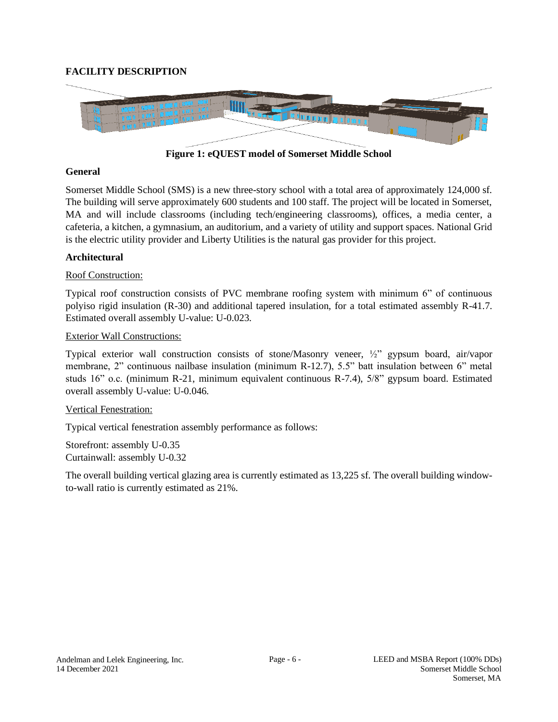# <span id="page-5-0"></span>**FACILITY DESCRIPTION**



**Figure 1: eQUEST model of Somerset Middle School**

#### **General**

Somerset Middle School (SMS) is a new three-story school with a total area of approximately 124,000 sf. The building will serve approximately 600 students and 100 staff. The project will be located in Somerset, MA and will include classrooms (including tech/engineering classrooms), offices, a media center, a cafeteria, a kitchen, a gymnasium, an auditorium, and a variety of utility and support spaces. National Grid is the electric utility provider and Liberty Utilities is the natural gas provider for this project.

### **Architectural**

### Roof Construction:

Typical roof construction consists of PVC membrane roofing system with minimum 6" of continuous polyiso rigid insulation (R-30) and additional tapered insulation, for a total estimated assembly R-41.7. Estimated overall assembly U-value: U-0.023.

#### Exterior Wall Constructions:

Typical exterior wall construction consists of stone/Masonry veneer, ½" gypsum board, air/vapor membrane, 2" continuous nailbase insulation (minimum R-12.7), 5.5" batt insulation between 6" metal studs 16" o.c. (minimum R-21, minimum equivalent continuous R-7.4), 5/8" gypsum board. Estimated overall assembly U-value: U-0.046.

#### Vertical Fenestration:

Typical vertical fenestration assembly performance as follows:

Storefront: assembly U-0.35 Curtainwall: assembly U-0.32

The overall building vertical glazing area is currently estimated as 13,225 sf. The overall building windowto-wall ratio is currently estimated as 21%.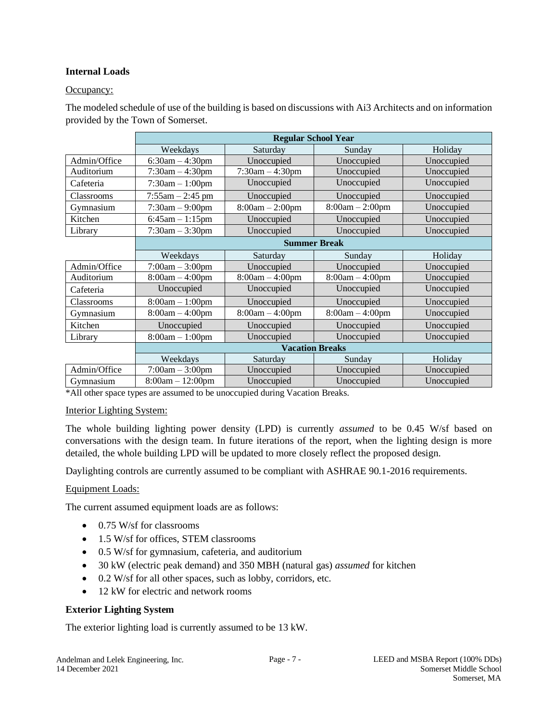## **Internal Loads**

### Occupancy:

The modeled schedule of use of the building is based on discussions with [Ai3 Architects](#page-2-1) and on information provided by the Town of Somerset.

|                   | <b>Regular School Year</b> |                      |                   |            |  |  |
|-------------------|----------------------------|----------------------|-------------------|------------|--|--|
|                   | Weekdays                   | Saturday             | Sunday            | Holiday    |  |  |
| Admin/Office      | $6:30am - 4:30pm$          | Unoccupied           | Unoccupied        | Unoccupied |  |  |
| Auditorium        | $7:30$ am $-4:30$ pm       | $7:30$ am $-4:30$ pm | Unoccupied        | Unoccupied |  |  |
| Cafeteria         | $7:30am - 1:00pm$          | Unoccupied           | Unoccupied        | Unoccupied |  |  |
| <b>Classrooms</b> | $7:55am - 2:45 pm$         | Unoccupied           | Unoccupied        | Unoccupied |  |  |
| Gymnasium         | $7:30am - 9:00pm$          | $8:00am - 2:00pm$    | $8:00am - 2:00pm$ | Unoccupied |  |  |
| Kitchen           | $6:45am - 1:15pm$          | Unoccupied           | Unoccupied        | Unoccupied |  |  |
| Library           | $7:30am - 3:30pm$          | Unoccupied           | Unoccupied        | Unoccupied |  |  |
|                   | <b>Summer Break</b>        |                      |                   |            |  |  |
|                   | Weekdays                   | Saturday             | Sunday            | Holiday    |  |  |
| Admin/Office      | $7:00am - 3:00pm$          | Unoccupied           | Unoccupied        | Unoccupied |  |  |
| Auditorium        | $8:00am - 4:00pm$          | $8:00am - 4:00pm$    | $8:00am - 4:00pm$ | Unoccupied |  |  |
| Cafeteria         | Unoccupied                 | Unoccupied           | Unoccupied        | Unoccupied |  |  |
| <b>Classrooms</b> | $8:00am - 1:00pm$          | Unoccupied           | Unoccupied        | Unoccupied |  |  |
| Gymnasium         | $8:00am - 4:00pm$          | $8:00am - 4:00pm$    | $8:00am - 4:00pm$ | Unoccupied |  |  |
| Kitchen           | Unoccupied                 | Unoccupied           | Unoccupied        | Unoccupied |  |  |
| Library           | $8:00am - 1:00pm$          | Unoccupied           | Unoccupied        | Unoccupied |  |  |
|                   |                            |                      |                   |            |  |  |
|                   | Weekdays                   | Saturday             | Sunday            | Holiday    |  |  |
| Admin/Office      | $7:00am - 3:00pm$          | Unoccupied           | Unoccupied        | Unoccupied |  |  |
| Gymnasium         | $8:00am - 12:00pm$         | Unoccupied           | Unoccupied        | Unoccupied |  |  |

\*All other space types are assumed to be unoccupied during Vacation Breaks.

#### Interior Lighting System:

The whole building lighting power density (LPD) is currently *assumed* to be 0.45 W/sf based on conversations with the design team. In future iterations of the report, when the lighting design is more detailed, the whole building LPD will be updated to more closely reflect the proposed design.

Daylighting controls are currently assumed to be compliant with ASHRAE 90.1-2016 requirements.

#### Equipment Loads:

The current assumed equipment loads are as follows:

- 0.75 W/sf for classrooms
- 1.5 W/sf for offices, STEM classrooms
- 0.5 W/sf for gymnasium, cafeteria, and auditorium
- 30 kW (electric peak demand) and 350 MBH (natural gas) *assumed* for kitchen
- 0.2 W/sf for all other spaces, such as lobby, corridors, etc.
- 12 kW for electric and network rooms

#### **Exterior Lighting System**

The exterior lighting load is currently assumed to be 13 kW.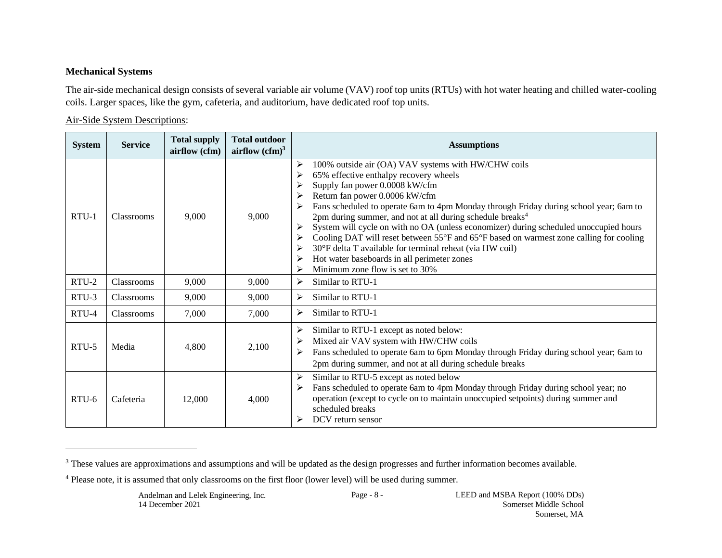# **Mechanical Systems**

The air-side mechanical design consists of several variable air volume (VAV) roof top units (RTUs) with hot water heating and chilled water-cooling coils. Larger spaces, like the gym, cafeteria, and auditorium, have dedicated roof top units.

### Air-Side System Descriptions:

| <b>System</b> | <b>Service</b> | <b>Total supply</b><br>airflow (cfm) | <b>Total outdoor</b><br>airflow $(cfm)^3$ | <b>Assumptions</b>                                                                                                                                                                                                                                                                                                                                                                                                                                                                                                                                                                                                                                                                                           |
|---------------|----------------|--------------------------------------|-------------------------------------------|--------------------------------------------------------------------------------------------------------------------------------------------------------------------------------------------------------------------------------------------------------------------------------------------------------------------------------------------------------------------------------------------------------------------------------------------------------------------------------------------------------------------------------------------------------------------------------------------------------------------------------------------------------------------------------------------------------------|
| $RTU-1$       | Classrooms     | 9.000                                | 9.000                                     | 100% outside air (OA) VAV systems with HW/CHW coils<br>➤<br>65% effective enthalpy recovery wheels<br>⋗<br>Supply fan power 0.0008 kW/cfm<br>➤<br>Return fan power 0.0006 kW/cfm<br>➤<br>Fans scheduled to operate 6am to 4pm Monday through Friday during school year; 6am to<br>2pm during summer, and not at all during schedule breaks <sup>4</sup><br>System will cycle on with no OA (unless economizer) during scheduled unoccupied hours<br>➤<br>Cooling DAT will reset between 55°F and 65°F based on warmest zone calling for cooling<br>➤<br>30°F delta T available for terminal reheat (via HW coil)<br>➤<br>Hot water baseboards in all perimeter zones<br>≻<br>Minimum zone flow is set to 30% |
| RTU-2         | Classrooms     | 9,000                                | 9,000                                     | ➤<br>Similar to RTU-1                                                                                                                                                                                                                                                                                                                                                                                                                                                                                                                                                                                                                                                                                        |
| RTU-3         | Classrooms     | 9,000                                | 9,000                                     | Similar to RTU-1<br>➤                                                                                                                                                                                                                                                                                                                                                                                                                                                                                                                                                                                                                                                                                        |
| RTU-4         | Classrooms     | 7,000                                | 7,000                                     | Similar to RTU-1<br>➤                                                                                                                                                                                                                                                                                                                                                                                                                                                                                                                                                                                                                                                                                        |
| RTU-5         | Media          | 4,800                                | 2,100                                     | ➤<br>Similar to RTU-1 except as noted below:<br>Mixed air VAV system with HW/CHW coils<br>➤<br>Fans scheduled to operate 6am to 6pm Monday through Friday during school year; 6am to<br>≻<br>2pm during summer, and not at all during schedule breaks                                                                                                                                                                                                                                                                                                                                                                                                                                                        |
| $RTU-6$       | Cafeteria      | 12,000                               | 4,000                                     | Similar to RTU-5 except as noted below<br>➤<br>Fans scheduled to operate 6am to 4pm Monday through Friday during school year; no<br>≻<br>operation (except to cycle on to maintain unoccupied setpoints) during summer and<br>scheduled breaks<br>DCV return sensor                                                                                                                                                                                                                                                                                                                                                                                                                                          |

<sup>&</sup>lt;sup>3</sup> These values are approximations and assumptions and will be updated as the design progresses and further information becomes available.

<sup>4</sup> Please note, it is assumed that only classrooms on the first floor (lower level) will be used during summer.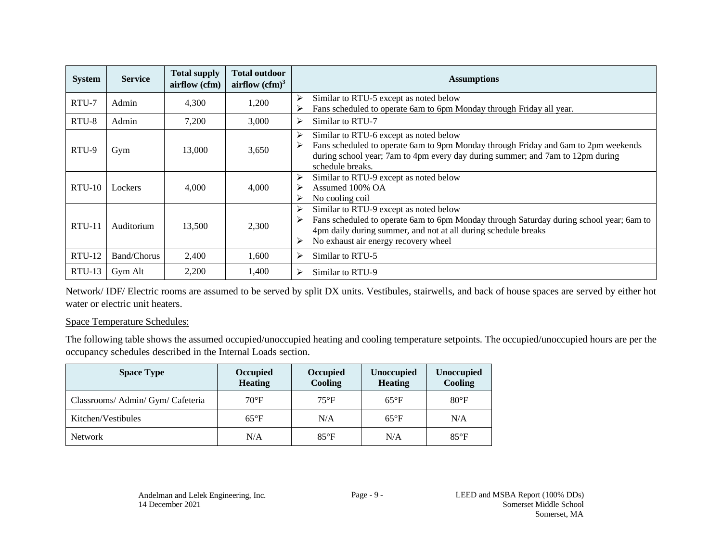| <b>System</b> | <b>Service</b>     | <b>Total supply</b><br>airflow (cfm) | <b>Total outdoor</b><br>airflow $(cfm)^3$ | <b>Assumptions</b>                                                                                                                                                                                                                                                        |
|---------------|--------------------|--------------------------------------|-------------------------------------------|---------------------------------------------------------------------------------------------------------------------------------------------------------------------------------------------------------------------------------------------------------------------------|
| RTU-7         | Admin              | 4,300                                | 1,200                                     | Similar to RTU-5 except as noted below<br>➤<br>Fans scheduled to operate 6am to 6pm Monday through Friday all year.                                                                                                                                                       |
| RTU-8         | Admin              | 7,200                                | 3,000                                     | Similar to RTU-7<br>⋗                                                                                                                                                                                                                                                     |
| RTU-9         | Gym                | 13,000                               | 3,650                                     | Similar to RTU-6 except as noted below<br>≻<br>Fans scheduled to operate 6am to 9pm Monday through Friday and 6am to 2pm weekends<br>≻<br>during school year; 7am to 4pm every day during summer; and 7am to 12pm during<br>schedule breaks.                              |
| $RTU-10$      | Lockers            | 4,000                                | 4,000                                     | Similar to RTU-9 except as noted below<br>➤<br>Assumed 100% OA<br>⋗<br>No cooling coil<br>⋗                                                                                                                                                                               |
| $RTU-11$      | Auditorium         | 13,500                               | 2,300                                     | Similar to RTU-9 except as noted below<br>≻<br>Fans scheduled to operate 6am to 6pm Monday through Saturday during school year; 6am to<br>$\blacktriangleright$<br>4pm daily during summer, and not at all during schedule breaks<br>No exhaust air energy recovery wheel |
| $RTU-12$      | <b>Band/Chorus</b> | 2,400                                | 1,600                                     | Similar to RTU-5<br>➤                                                                                                                                                                                                                                                     |
| $RTU-13$      | Gym Alt            | 2,200                                | 1,400                                     | Similar to RTU-9<br>≻                                                                                                                                                                                                                                                     |

Network/ IDF/ Electric rooms are assumed to be served by split DX units. Vestibules, stairwells, and back of house spaces are served by either hot water or electric unit heaters.

#### Space Temperature Schedules:

The following table shows the assumed occupied/unoccupied heating and cooling temperature setpoints. The occupied/unoccupied hours are per the occupancy schedules described in the Internal Loads section.

| <b>Space Type</b>                 | Occupied<br><b>Heating</b> | Occupied<br><b>Cooling</b> | <b>Unoccupied</b><br><b>Heating</b> | <b>Unoccupied</b><br>Cooling |
|-----------------------------------|----------------------------|----------------------------|-------------------------------------|------------------------------|
| Classrooms/ Admin/ Gym/ Cafeteria | $70^{\circ}$ F             | $75^{\circ}F$              | $65^{\circ}F$                       | $80^{\circ}$ F               |
| Kitchen/Vestibules                | $65^{\circ}F$              | N/A                        | $65^{\circ}F$                       | N/A                          |
| <b>Network</b>                    | N/A                        | $85^{\circ}F$              | N/A                                 | $85^{\circ}F$                |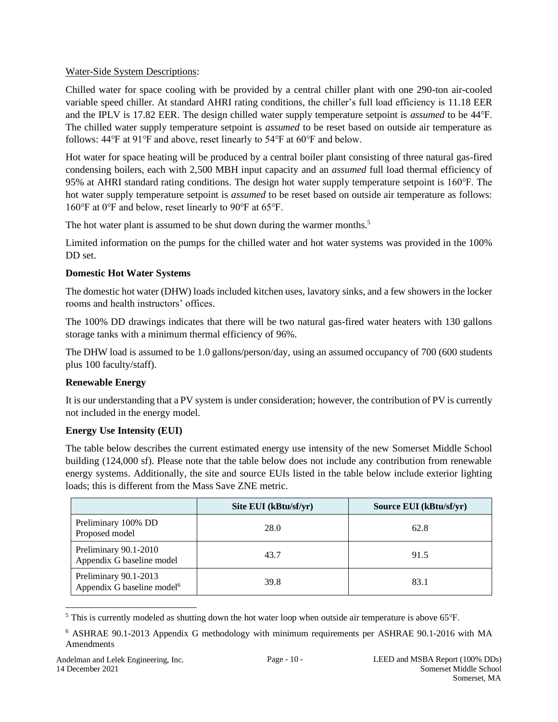# Water-Side System Descriptions:

Chilled water for space cooling with be provided by a central chiller plant with one 290-ton air-cooled variable speed chiller. At standard AHRI rating conditions, the chiller's full load efficiency is 11.18 EER and the IPLV is 17.82 EER. The design chilled water supply temperature setpoint is *assumed* to be 44℉. The chilled water supply temperature setpoint is *assumed* to be reset based on outside air temperature as follows:  $44^{\circ}$ F at  $91^{\circ}$ F and above, reset linearly to  $54^{\circ}$ F at  $60^{\circ}$ F and below.

Hot water for space heating will be produced by a central boiler plant consisting of three natural gas-fired condensing boilers, each with 2,500 MBH input capacity and an *assumed* full load thermal efficiency of 95% at AHRI standard rating conditions. The design hot water supply temperature setpoint is 160℉. The hot water supply temperature setpoint is *assumed* to be reset based on outside air temperature as follows: 160℉ at 0℉ and below, reset linearly to 90℉ at 65℉.

The hot water plant is assumed to be shut down during the warmer months.<sup>5</sup>

Limited information on the pumps for the chilled water and hot water systems was provided in the 100% DD set.

# **Domestic Hot Water Systems**

The domestic hot water (DHW) loads included kitchen uses, lavatory sinks, and a few showers in the locker rooms and health instructors' offices.

The 100% DD drawings indicates that there will be two natural gas-fired water heaters with 130 gallons storage tanks with a minimum thermal efficiency of 96%.

The DHW load is assumed to be 1.0 gallons/person/day, using an assumed occupancy of 700 (600 students plus 100 faculty/staff).

# **Renewable Energy**

It is our understanding that a PV system is under consideration; however, the contribution of PV is currently not included in the energy model.

# **Energy Use Intensity (EUI)**

The table below describes the current estimated energy use intensity of the new Somerset Middle School building (124,000 sf). Please note that the table below does not include any contribution from renewable energy systems. Additionally, the site and source EUIs listed in the table below include exterior lighting loads; this is different from the Mass Save ZNE metric.

|                                                                 | Site EUI (kBtu/sf/yr) | Source EUI (kBtu/sf/yr) |
|-----------------------------------------------------------------|-----------------------|-------------------------|
| Preliminary 100% DD<br>Proposed model                           | 28.0                  | 62.8                    |
| Preliminary 90.1-2010<br>Appendix G baseline model              | 43.7                  | 91.5                    |
| Preliminary 90.1-2013<br>Appendix G baseline model <sup>6</sup> | 39.8                  | 83.1                    |

<sup>&</sup>lt;sup>5</sup> This is currently modeled as shutting down the hot water loop when outside air temperature is above 65°F.

<sup>6</sup> ASHRAE 90.1-2013 Appendix G methodology with minimum requirements per ASHRAE 90.1-2016 with MA Amendments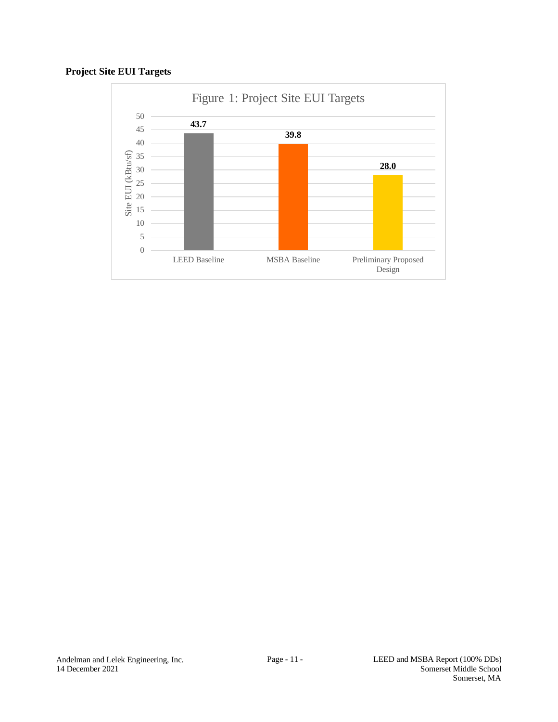# **Project Site EUI Targets**

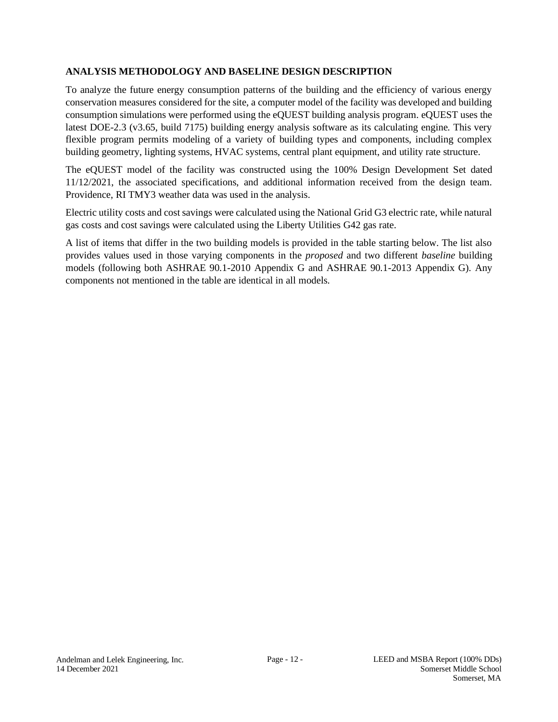# <span id="page-11-0"></span>**ANALYSIS METHODOLOGY AND BASELINE DESIGN DESCRIPTION**

To analyze the future energy consumption patterns of the building and the efficiency of various energy conservation measures considered for the site, a computer model of the facility was developed and building consumption simulations were performed using the eQUEST building analysis program. eQUEST uses the latest DOE-2.3 (v3.65, build 7175) building energy analysis software as its calculating engine. This very flexible program permits modeling of a variety of building types and components, including complex building geometry, lighting systems, HVAC systems, central plant equipment, and utility rate structure.

The eQUEST model of the facility was constructed using the [100% Design Development Set](#page-2-2) dated 11/12/2021, the associated specifications, and additional information received from the design team. Providence, RI TMY3 weather data was used in the analysis.

Electric utility costs and cost savings were calculated using the National Grid G3 electric rate, while natural gas costs and cost savings were calculated using the Liberty Utilities G42 gas rate.

A list of items that differ in the two building models is provided in the table starting below. The list also provides values used in those varying components in the *proposed* and two different *baseline* building models (following both ASHRAE 90.1-2010 Appendix G and ASHRAE 90.1-2013 Appendix G). Any components not mentioned in the table are identical in all models.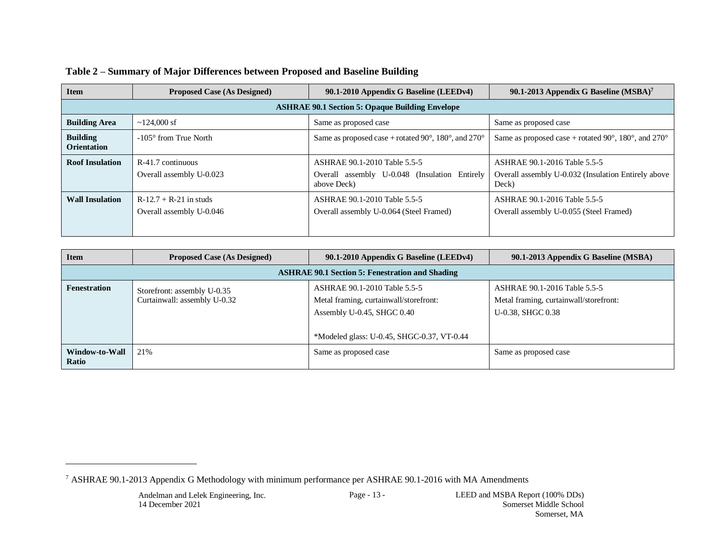| <b>Item</b>                           | <b>Proposed Case (As Designed)</b>                     | 90.1-2010 Appendix G Baseline (LEEDv4)                                                       | 90.1-2013 Appendix G Baseline (MSBA) <sup>7</sup>                                            |  |  |  |  |  |
|---------------------------------------|--------------------------------------------------------|----------------------------------------------------------------------------------------------|----------------------------------------------------------------------------------------------|--|--|--|--|--|
|                                       | <b>ASHRAE 90.1 Section 5: Opaque Building Envelope</b> |                                                                                              |                                                                                              |  |  |  |  |  |
| <b>Building Area</b>                  | $\sim$ 124,000 sf                                      | Same as proposed case                                                                        | Same as proposed case                                                                        |  |  |  |  |  |
| <b>Building</b><br><b>Orientation</b> | $-105^{\circ}$ from True North                         | Same as proposed case + rotated 90 $^{\circ}$ , 180 $^{\circ}$ , and 270 $^{\circ}$          | Same as proposed case + rotated 90 $^{\circ}$ , 180 $^{\circ}$ , and 270 $^{\circ}$          |  |  |  |  |  |
| <b>Roof Insulation</b>                | $R-41.7$ continuous<br>Overall assembly U-0.023        | ASHRAE 90.1-2010 Table 5.5-5<br>Overall assembly U-0.048 (Insulation Entirely<br>above Deck) | ASHRAE 90.1-2016 Table 5.5-5<br>Overall assembly U-0.032 (Insulation Entirely above<br>Deck) |  |  |  |  |  |
| <b>Wall Insulation</b>                | $R-12.7 + R-21$ in studs<br>Overall assembly U-0.046   | ASHRAE 90.1-2010 Table 5.5-5<br>Overall assembly U-0.064 (Steel Framed)                      | ASHRAE 90.1-2016 Table 5.5-5<br>Overall assembly U-0.055 (Steel Framed)                      |  |  |  |  |  |

# **Table 2 – Summary of Major Differences between Proposed and Baseline Building**

| <b>Item</b>             | <b>Proposed Case (As Designed)</b>                          | 90.1-2010 Appendix G Baseline (LEEDv4)                                                                                                               | 90.1-2013 Appendix G Baseline (MSBA)                                                        |  |  |
|-------------------------|-------------------------------------------------------------|------------------------------------------------------------------------------------------------------------------------------------------------------|---------------------------------------------------------------------------------------------|--|--|
|                         | <b>ASHRAE 90.1 Section 5: Fenestration and Shading</b>      |                                                                                                                                                      |                                                                                             |  |  |
| <b>Fenestration</b>     | Storefront: assembly U-0.35<br>Curtainwall: assembly U-0.32 | ASHRAE 90.1-2010 Table 5.5-5<br>Metal framing, curtainwall/storefront:<br>Assembly U-0.45, SHGC $0.40$<br>*Modeled glass: U-0.45, SHGC-0.37, VT-0.44 | ASHRAE 90.1-2016 Table 5.5-5<br>Metal framing, curtainwall/storefront:<br>U-0.38, SHGC 0.38 |  |  |
| Window-to-Wall<br>Ratio | 21%                                                         | Same as proposed case                                                                                                                                | Same as proposed case                                                                       |  |  |

<sup>7</sup> ASHRAE 90.1-2013 Appendix G Methodology with minimum performance per ASHRAE 90.1-2016 with MA Amendments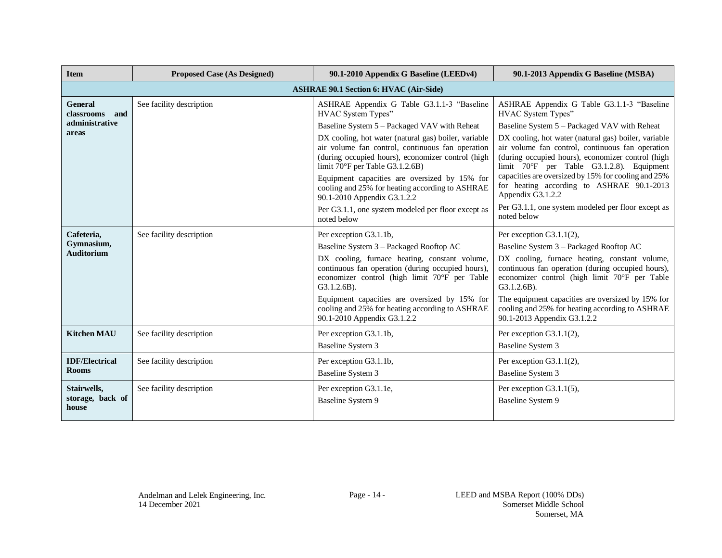| <b>Item</b>                         | <b>Proposed Case (As Designed)</b>            | 90.1-2010 Appendix G Baseline (LEEDv4)                                                                                                                                                           | 90.1-2013 Appendix G Baseline (MSBA)                                                                                                                                                                       |  |  |
|-------------------------------------|-----------------------------------------------|--------------------------------------------------------------------------------------------------------------------------------------------------------------------------------------------------|------------------------------------------------------------------------------------------------------------------------------------------------------------------------------------------------------------|--|--|
|                                     | <b>ASHRAE 90.1 Section 6: HVAC (Air-Side)</b> |                                                                                                                                                                                                  |                                                                                                                                                                                                            |  |  |
| <b>General</b><br>classrooms<br>and | See facility description                      | ASHRAE Appendix G Table G3.1.1-3 "Baseline<br>HVAC System Types"                                                                                                                                 | ASHRAE Appendix G Table G3.1.1-3 "Baseline<br>HVAC System Types"                                                                                                                                           |  |  |
| administrative                      |                                               | Baseline System 5 – Packaged VAV with Reheat                                                                                                                                                     | Baseline System 5 – Packaged VAV with Reheat                                                                                                                                                               |  |  |
| areas                               |                                               | DX cooling, hot water (natural gas) boiler, variable<br>air volume fan control, continuous fan operation<br>(during occupied hours), economizer control (high<br>limit 70°F per Table G3.1.2.6B) | DX cooling, hot water (natural gas) boiler, variable<br>air volume fan control, continuous fan operation<br>(during occupied hours), economizer control (high<br>limit 70°F per Table G3.1.2.8). Equipment |  |  |
|                                     |                                               | Equipment capacities are oversized by 15% for<br>cooling and 25% for heating according to ASHRAE<br>90.1-2010 Appendix G3.1.2.2                                                                  | capacities are oversized by 15% for cooling and 25%<br>for heating according to ASHRAE 90.1-2013<br>Appendix G3.1.2.2                                                                                      |  |  |
|                                     |                                               | Per G3.1.1, one system modeled per floor except as<br>noted below                                                                                                                                | Per G3.1.1, one system modeled per floor except as<br>noted below                                                                                                                                          |  |  |
| Cafeteria,                          | See facility description                      | Per exception G3.1.1b,                                                                                                                                                                           | Per exception G3.1.1(2),                                                                                                                                                                                   |  |  |
| Gymnasium,<br><b>Auditorium</b>     |                                               | Baseline System 3 - Packaged Rooftop AC                                                                                                                                                          | Baseline System 3 - Packaged Rooftop AC                                                                                                                                                                    |  |  |
|                                     |                                               | DX cooling, furnace heating, constant volume,<br>continuous fan operation (during occupied hours),<br>economizer control (high limit 70°F per Table<br>$G3.1.2.6B$ ).                            | DX cooling, furnace heating, constant volume,<br>continuous fan operation (during occupied hours),<br>economizer control (high limit 70°F per Table<br>$G3.1.2.6B$ ).                                      |  |  |
|                                     |                                               | Equipment capacities are oversized by 15% for<br>cooling and 25% for heating according to ASHRAE<br>90.1-2010 Appendix G3.1.2.2                                                                  | The equipment capacities are oversized by 15% for<br>cooling and 25% for heating according to ASHRAE<br>90.1-2013 Appendix G3.1.2.2                                                                        |  |  |
| <b>Kitchen MAU</b>                  | See facility description                      | Per exception G3.1.1b,                                                                                                                                                                           | Per exception $G3.1.1(2)$ ,                                                                                                                                                                                |  |  |
|                                     |                                               | <b>Baseline System 3</b>                                                                                                                                                                         | <b>Baseline System 3</b>                                                                                                                                                                                   |  |  |
| <b>IDF/Electrical</b>               | See facility description                      | Per exception G3.1.1b,                                                                                                                                                                           | Per exception $G3.1.1(2)$ ,                                                                                                                                                                                |  |  |
| <b>Rooms</b>                        |                                               | <b>Baseline System 3</b>                                                                                                                                                                         | <b>Baseline System 3</b>                                                                                                                                                                                   |  |  |
| Stairwells,                         | See facility description                      | Per exception G3.1.1e,                                                                                                                                                                           | Per exception $G3.1.1(5)$ ,                                                                                                                                                                                |  |  |
| storage, back of<br>house           |                                               | <b>Baseline System 9</b>                                                                                                                                                                         | <b>Baseline System 9</b>                                                                                                                                                                                   |  |  |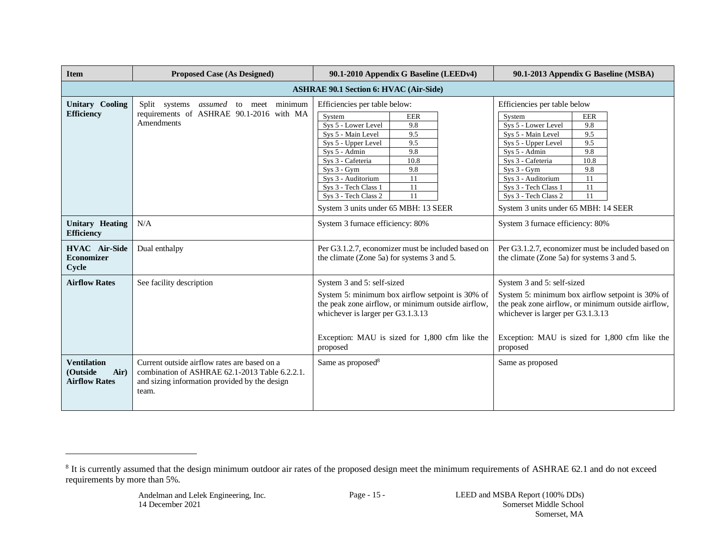| <b>Item</b>                                                    | <b>Proposed Case (As Designed)</b>                                                                                                                       | 90.1-2010 Appendix G Baseline (LEEDv4)                                                                                                                                                                                                                                                                                                                      | 90.1-2013 Appendix G Baseline (MSBA)                                                                                                                                                                                                                                                                                                                       |
|----------------------------------------------------------------|----------------------------------------------------------------------------------------------------------------------------------------------------------|-------------------------------------------------------------------------------------------------------------------------------------------------------------------------------------------------------------------------------------------------------------------------------------------------------------------------------------------------------------|------------------------------------------------------------------------------------------------------------------------------------------------------------------------------------------------------------------------------------------------------------------------------------------------------------------------------------------------------------|
|                                                                |                                                                                                                                                          | <b>ASHRAE 90.1 Section 6: HVAC (Air-Side)</b>                                                                                                                                                                                                                                                                                                               |                                                                                                                                                                                                                                                                                                                                                            |
| <b>Unitary Cooling</b><br><b>Efficiency</b>                    | meet minimum<br>Split systems<br>assumed<br>to<br>requirements of ASHRAE 90.1-2016 with MA<br>Amendments                                                 | Efficiencies per table below:<br>System<br><b>EER</b><br>Sys 5 - Lower Level<br>9.8<br>9.5<br>Sys 5 - Main Level<br>9.5<br>Sys 5 - Upper Level<br>9.8<br>Sys 5 - Admin<br>Sys 3 - Cafeteria<br>10.8<br>9.8<br>$Sys 3 - Gym$<br>Sys 3 - Auditorium<br>11<br>11<br>Sys 3 - Tech Class 1<br>11<br>Sys 3 - Tech Class 2<br>System 3 units under 65 MBH: 13 SEER | Efficiencies per table below<br>System<br><b>EER</b><br>Sys 5 - Lower Level<br>9.8<br>Sys 5 - Main Level<br>9.5<br>Sys 5 - Upper Level<br>9.5<br>9.8<br>Sys 5 - Admin<br>Sys 3 - Cafeteria<br>10.8<br>$Sys 3 - Gym$<br>9.8<br>Sys 3 - Auditorium<br>11<br>Sys 3 - Tech Class 1<br>11<br>11<br>Sys 3 - Tech Class 2<br>System 3 units under 65 MBH: 14 SEER |
| <b>Unitary Heating</b><br><b>Efficiency</b>                    | N/A                                                                                                                                                      | System 3 furnace efficiency: 80%                                                                                                                                                                                                                                                                                                                            | System 3 furnace efficiency: 80%                                                                                                                                                                                                                                                                                                                           |
| <b>HVAC</b> Air-Side<br><b>Economizer</b><br>Cycle             | Dual enthalpy                                                                                                                                            | Per G3.1.2.7, economizer must be included based on<br>the climate (Zone 5a) for systems 3 and 5.                                                                                                                                                                                                                                                            | Per G3.1.2.7, economizer must be included based on<br>the climate (Zone 5a) for systems 3 and 5.                                                                                                                                                                                                                                                           |
| <b>Airflow Rates</b>                                           | See facility description                                                                                                                                 | System 3 and 5: self-sized<br>System 5: minimum box airflow setpoint is 30% of<br>the peak zone airflow, or minimum outside airflow,<br>whichever is larger per G3.1.3.13<br>Exception: MAU is sized for 1,800 cfm like the<br>proposed                                                                                                                     | System 3 and 5: self-sized<br>System 5: minimum box airflow setpoint is 30% of<br>the peak zone airflow, or minimum outside airflow,<br>whichever is larger per G3.1.3.13<br>Exception: MAU is sized for 1,800 cfm like the<br>proposed                                                                                                                    |
| <b>Ventilation</b><br>Air)<br>(Outside<br><b>Airflow Rates</b> | Current outside airflow rates are based on a<br>combination of ASHRAE 62.1-2013 Table 6.2.2.1.<br>and sizing information provided by the design<br>team. | Same as proposed <sup>8</sup>                                                                                                                                                                                                                                                                                                                               | Same as proposed                                                                                                                                                                                                                                                                                                                                           |

<sup>&</sup>lt;sup>8</sup> It is currently assumed that the design minimum outdoor air rates of the proposed design meet the minimum requirements of ASHRAE 62.1 and do not exceed requirements by more than 5%.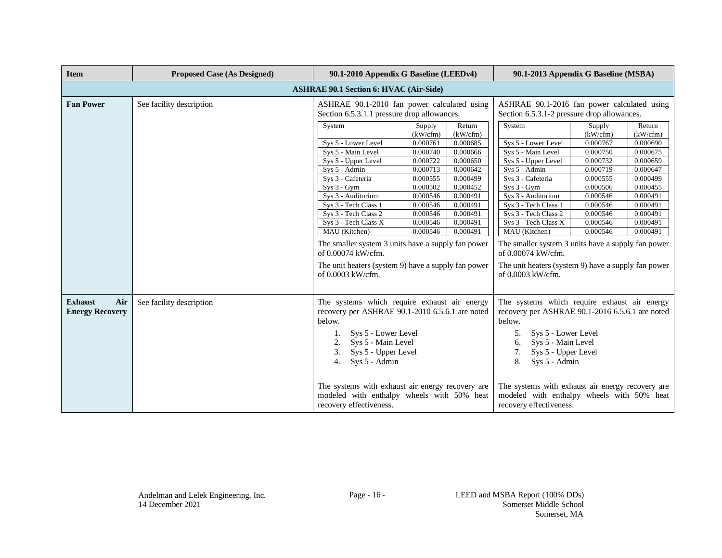| <b>Item</b>                                     | <b>Proposed Case (As Designed)</b> | 90.1-2010 Appendix G Baseline (LEEDv4)                                                                                                                                                                                                                                                                                                                                                                                                                                                                                                                                                                                                                                                                                       | 90.1-2013 Appendix G Baseline (MSBA)                                                                                                                                                                                                                                                                                                                                                                                                                                                                                                                                                                                                                                                                                         |
|-------------------------------------------------|------------------------------------|------------------------------------------------------------------------------------------------------------------------------------------------------------------------------------------------------------------------------------------------------------------------------------------------------------------------------------------------------------------------------------------------------------------------------------------------------------------------------------------------------------------------------------------------------------------------------------------------------------------------------------------------------------------------------------------------------------------------------|------------------------------------------------------------------------------------------------------------------------------------------------------------------------------------------------------------------------------------------------------------------------------------------------------------------------------------------------------------------------------------------------------------------------------------------------------------------------------------------------------------------------------------------------------------------------------------------------------------------------------------------------------------------------------------------------------------------------------|
|                                                 |                                    | <b>ASHRAE 90.1 Section 6: HVAC (Air-Side)</b>                                                                                                                                                                                                                                                                                                                                                                                                                                                                                                                                                                                                                                                                                |                                                                                                                                                                                                                                                                                                                                                                                                                                                                                                                                                                                                                                                                                                                              |
| <b>Fan Power</b>                                | See facility description           | ASHRAE 90.1-2010 fan power calculated using<br>Section 6.5.3.1.1 pressure drop allowances.                                                                                                                                                                                                                                                                                                                                                                                                                                                                                                                                                                                                                                   | ASHRAE 90.1-2016 fan power calculated using<br>Section 6.5.3.1-2 pressure drop allowances.                                                                                                                                                                                                                                                                                                                                                                                                                                                                                                                                                                                                                                   |
|                                                 |                                    | System<br>Return<br>Supply<br>(kW/cfm)<br>(kW/cfm)<br>Sys 5 - Lower Level<br>0.000685<br>0.000761<br>Sys 5 - Main Level<br>0.000740<br>0.000666<br>0.000722<br>0.000650<br>Sys 5 - Upper Level<br>Sys 5 - Admin<br>0.000713<br>0.000642<br>0.000499<br>Sys 3 - Cafeteria<br>0.000555<br>$Sys 3 - Gym$<br>0.000502<br>0.000452<br>0.000491<br>Sys 3 - Auditorium<br>0.000546<br>Sys 3 - Tech Class 1<br>0.000491<br>0.000546<br>Sys 3 - Tech Class 2<br>0.000546<br>0.000491<br>Sys 3 - Tech Class X<br>0.000491<br>0.000546<br>MAU (Kitchen)<br>0.000546<br>0.000491<br>The smaller system 3 units have a supply fan power<br>of 0.00074 kW/cfm.<br>The unit heaters (system 9) have a supply fan power<br>of 0.0003 kW/cfm. | System<br>Return<br>Supply<br>(kW/cfm)<br>(kW/cfm)<br>Sys 5 - Lower Level<br>0.000767<br>0.000690<br>Sys 5 - Main Level<br>0.000750<br>0.000675<br>Sys 5 - Upper Level<br>0.000732<br>0.000659<br>Sys 5 - Admin<br>0.000719<br>0.000647<br>0.000499<br>Sys 3 - Cafeteria<br>0.000555<br>$Sys 3 - Gym$<br>0.000455<br>0.000506<br>0.000546<br>0.000491<br>Sys 3 - Auditorium<br>Sys 3 - Tech Class 1<br>0.000546<br>0.000491<br>Sys 3 - Tech Class 2<br>0.000546<br>0.000491<br>Sys 3 - Tech Class X<br>0.000546<br>0.000491<br>MAU (Kitchen)<br>0.000546<br>0.000491<br>The smaller system 3 units have a supply fan power<br>of 0.00074 kW/cfm.<br>The unit heaters (system 9) have a supply fan power<br>of 0.0003 kW/cfm. |
| <b>Exhaust</b><br>Air<br><b>Energy Recovery</b> | See facility description           | The systems which require exhaust air energy<br>recovery per ASHRAE 90.1-2010 6.5.6.1 are noted<br>below.<br>Sys 5 - Lower Level<br>Sys 5 - Main Level<br>2.<br>3.<br>Sys 5 - Upper Level<br>Sys 5 - Admin<br>4.                                                                                                                                                                                                                                                                                                                                                                                                                                                                                                             | The systems which require exhaust air energy<br>recovery per ASHRAE 90.1-2016 6.5.6.1 are noted<br>below.<br>Sys 5 - Lower Level<br>5.<br>Sys 5 - Main Level<br>6.<br>7.<br>Sys 5 - Upper Level<br>8.<br>Sys 5 - Admin                                                                                                                                                                                                                                                                                                                                                                                                                                                                                                       |
|                                                 |                                    | The systems with exhaust air energy recovery are.<br>modeled with enthalpy wheels with 50% heat<br>recovery effectiveness.                                                                                                                                                                                                                                                                                                                                                                                                                                                                                                                                                                                                   | The systems with exhaust air energy recovery are.<br>modeled with enthalpy wheels with 50% heat<br>recovery effectiveness.                                                                                                                                                                                                                                                                                                                                                                                                                                                                                                                                                                                                   |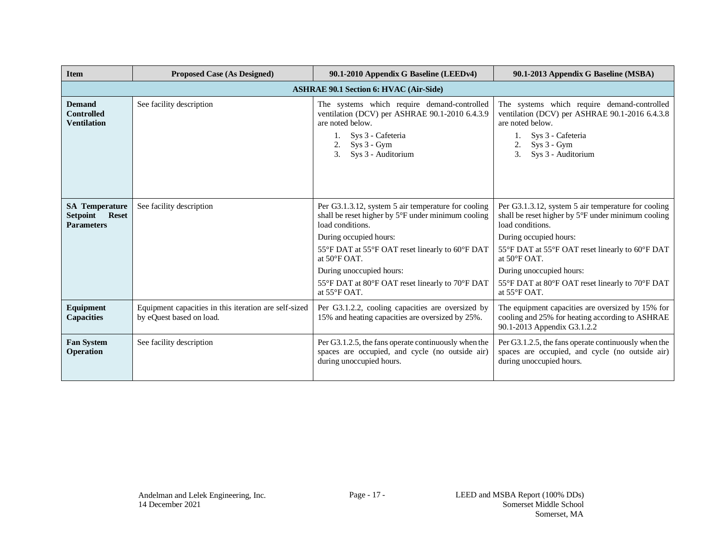| <b>Item</b>                                                            | <b>Proposed Case (As Designed)</b>                                                | 90.1-2010 Appendix G Baseline (LEEDv4)                                                                                                                                                                                                                                                                                                        | 90.1-2013 Appendix G Baseline (MSBA)                                                                                                                                                                                                                                                                                                          |  |  |
|------------------------------------------------------------------------|-----------------------------------------------------------------------------------|-----------------------------------------------------------------------------------------------------------------------------------------------------------------------------------------------------------------------------------------------------------------------------------------------------------------------------------------------|-----------------------------------------------------------------------------------------------------------------------------------------------------------------------------------------------------------------------------------------------------------------------------------------------------------------------------------------------|--|--|
|                                                                        | <b>ASHRAE 90.1 Section 6: HVAC (Air-Side)</b>                                     |                                                                                                                                                                                                                                                                                                                                               |                                                                                                                                                                                                                                                                                                                                               |  |  |
| <b>Demand</b><br><b>Controlled</b><br><b>Ventilation</b>               | See facility description                                                          | The systems which require demand-controlled<br>ventilation (DCV) per ASHRAE 90.1-2010 6.4.3.9<br>are noted below.<br>Sys 3 - Cafeteria<br>$Sys 3 - Gym$<br>2.<br>3 <sub>1</sub><br>Sys 3 - Auditorium                                                                                                                                         | The systems which require demand-controlled<br>ventilation (DCV) per ASHRAE 90.1-2016 6.4.3.8<br>are noted below.<br>Sys 3 - Cafeteria<br>$Sys 3 - Gym$<br>3.<br>Sys 3 - Auditorium                                                                                                                                                           |  |  |
| <b>SA Temperature</b><br>Setpoint<br><b>Reset</b><br><b>Parameters</b> | See facility description                                                          | Per G3.1.3.12, system 5 air temperature for cooling<br>shall be reset higher by 5°F under minimum cooling<br>load conditions.<br>During occupied hours:<br>55°F DAT at 55°F OAT reset linearly to 60°F DAT<br>at $50^{\circ}$ F OAT.<br>During unoccupied hours:<br>55°F DAT at 80°F OAT reset linearly to 70°F DAT<br>at $55^{\circ}$ F OAT. | Per G3.1.3.12, system 5 air temperature for cooling<br>shall be reset higher by 5°F under minimum cooling<br>load conditions.<br>During occupied hours:<br>55°F DAT at 55°F OAT reset linearly to 60°F DAT<br>at $50^{\circ}$ F OAT.<br>During unoccupied hours:<br>55°F DAT at 80°F OAT reset linearly to 70°F DAT<br>at $55^{\circ}$ F OAT. |  |  |
| Equipment<br><b>Capacities</b>                                         | Equipment capacities in this iteration are self-sized<br>by eQuest based on load. | Per G3.1.2.2, cooling capacities are oversized by<br>15% and heating capacities are oversized by 25%.                                                                                                                                                                                                                                         | The equipment capacities are oversized by 15% for<br>cooling and 25% for heating according to ASHRAE<br>90.1-2013 Appendix G3.1.2.2                                                                                                                                                                                                           |  |  |
| <b>Fan System</b><br>Operation                                         | See facility description                                                          | Per G3.1.2.5, the fans operate continuously when the<br>spaces are occupied, and cycle (no outside air)<br>during unoccupied hours.                                                                                                                                                                                                           | Per G3.1.2.5, the fans operate continuously when the<br>spaces are occupied, and cycle (no outside air)<br>during unoccupied hours.                                                                                                                                                                                                           |  |  |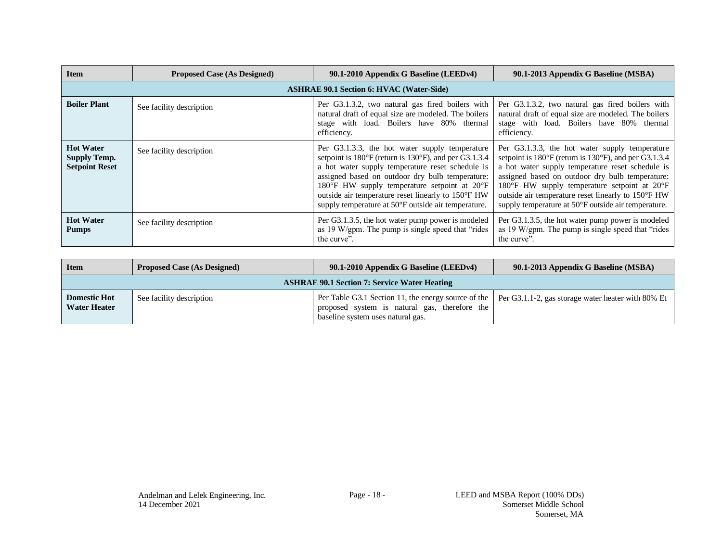| <b>Item</b>                                                      | <b>Proposed Case (As Designed)</b> | 90.1-2010 Appendix G Baseline (LEEDv4)                                                                                                                                                                                                                                                                                                                                                                                | 90.1-2013 Appendix G Baseline (MSBA)                                                                                                                                                                                                                                                                                                                                                                                  |
|------------------------------------------------------------------|------------------------------------|-----------------------------------------------------------------------------------------------------------------------------------------------------------------------------------------------------------------------------------------------------------------------------------------------------------------------------------------------------------------------------------------------------------------------|-----------------------------------------------------------------------------------------------------------------------------------------------------------------------------------------------------------------------------------------------------------------------------------------------------------------------------------------------------------------------------------------------------------------------|
|                                                                  |                                    | <b>ASHRAE 90.1 Section 6: HVAC (Water-Side)</b>                                                                                                                                                                                                                                                                                                                                                                       |                                                                                                                                                                                                                                                                                                                                                                                                                       |
| <b>Boiler Plant</b>                                              | See facility description           | Per G3.1.3.2, two natural gas fired boilers with<br>natural draft of equal size are modeled. The boilers<br>stage with load. Boilers have 80% thermal<br>efficiency.                                                                                                                                                                                                                                                  | Per G3.1.3.2, two natural gas fired boilers with<br>natural draft of equal size are modeled. The boilers<br>stage with load. Boilers have 80% thermal<br>efficiency.                                                                                                                                                                                                                                                  |
| <b>Hot Water</b><br><b>Supply Temp.</b><br><b>Setpoint Reset</b> | See facility description           | Per G3.1.3.3, the hot water supply temperature<br>setpoint is $180^{\circ}$ F (return is $130^{\circ}$ F), and per G3.1.3.4<br>a hot water supply temperature reset schedule is<br>assigned based on outdoor dry bulb temperature:<br>180 $\mathrm{F}$ HW supply temperature setpoint at 20 $\mathrm{F}$<br>outside air temperature reset linearly to 150°F HW<br>supply temperature at 50°F outside air temperature. | Per G3.1.3.3, the hot water supply temperature<br>setpoint is $180^{\circ}$ F (return is $130^{\circ}$ F), and per G3.1.3.4<br>a hot water supply temperature reset schedule is<br>assigned based on outdoor dry bulb temperature:<br>180 $\mathrm{F}$ HW supply temperature setpoint at 20 $\mathrm{F}$<br>outside air temperature reset linearly to 150°F HW<br>supply temperature at 50°F outside air temperature. |
| <b>Hot Water</b><br><b>Pumps</b>                                 | See facility description           | Per G3.1.3.5, the hot water pump power is modeled<br>as 19 W/gpm. The pump is single speed that "rides<br>the curve".                                                                                                                                                                                                                                                                                                 | Per G3.1.3.5, the hot water pump power is modeled<br>as 19 W/gpm. The pump is single speed that "rides"<br>the curve".                                                                                                                                                                                                                                                                                                |

| <b>Item</b>                                         | <b>Proposed Case (As Designed)</b> | 90.1-2010 Appendix G Baseline (LEEDv4)                                                                                                                                                       | 90.1-2013 Appendix G Baseline (MSBA) |
|-----------------------------------------------------|------------------------------------|----------------------------------------------------------------------------------------------------------------------------------------------------------------------------------------------|--------------------------------------|
| <b>ASHRAE 90.1 Section 7: Service Water Heating</b> |                                    |                                                                                                                                                                                              |                                      |
| <b>Domestic Hot</b><br><b>Water Heater</b>          | See facility description           | Per Table G3.1 Section 11, the energy source of the Per G3.1.1-2, gas storage water heater with 80% Et<br>proposed system is natural gas, therefore the<br>baseline system uses natural gas. |                                      |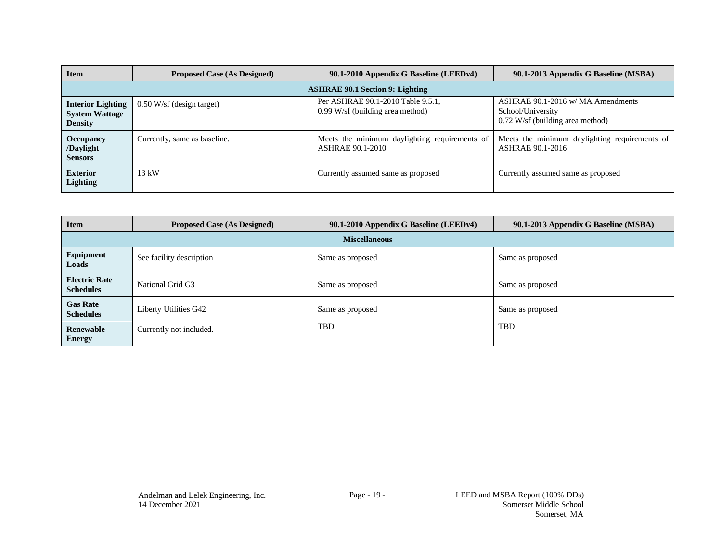| <b>Item</b>                                                         | <b>Proposed Case (As Designed)</b> | 90.1-2010 Appendix G Baseline (LEEDv4)                                   | 90.1-2013 Appendix G Baseline (MSBA)                                                         |  |
|---------------------------------------------------------------------|------------------------------------|--------------------------------------------------------------------------|----------------------------------------------------------------------------------------------|--|
| <b>ASHRAE 90.1 Section 9: Lighting</b>                              |                                    |                                                                          |                                                                                              |  |
| <b>Interior Lighting</b><br><b>System Wattage</b><br><b>Density</b> | $0.50$ W/sf (design target)        | Per ASHRAE 90.1-2010 Table 9.5.1,<br>$0.99$ W/sf (building area method)  | ASHRAE 90.1-2016 w/ MA Amendments<br>School/University<br>$0.72$ W/sf (building area method) |  |
| <b>Occupancy</b><br>/Daylight<br><b>Sensors</b>                     | Currently, same as baseline.       | Meets the minimum daylighting requirements of<br><b>ASHRAE 90.1-2010</b> | Meets the minimum daylighting requirements of<br><b>ASHRAE 90.1-2016</b>                     |  |
| <b>Exterior</b><br>Lighting                                         | 13 kW                              | Currently assumed same as proposed                                       | Currently assumed same as proposed                                                           |  |

| <b>Item</b>                              | <b>Proposed Case (As Designed)</b> | 90.1-2010 Appendix G Baseline (LEEDv4) | 90.1-2013 Appendix G Baseline (MSBA) |  |
|------------------------------------------|------------------------------------|----------------------------------------|--------------------------------------|--|
| <b>Miscellaneous</b>                     |                                    |                                        |                                      |  |
| Equipment<br>Loads                       | See facility description           | Same as proposed                       | Same as proposed                     |  |
| <b>Electric Rate</b><br><b>Schedules</b> | National Grid G3                   | Same as proposed                       | Same as proposed                     |  |
| <b>Gas Rate</b><br><b>Schedules</b>      | Liberty Utilities G42              | Same as proposed                       | Same as proposed                     |  |
| <b>Renewable</b><br><b>Energy</b>        | Currently not included.            | <b>TBD</b>                             | TBD                                  |  |